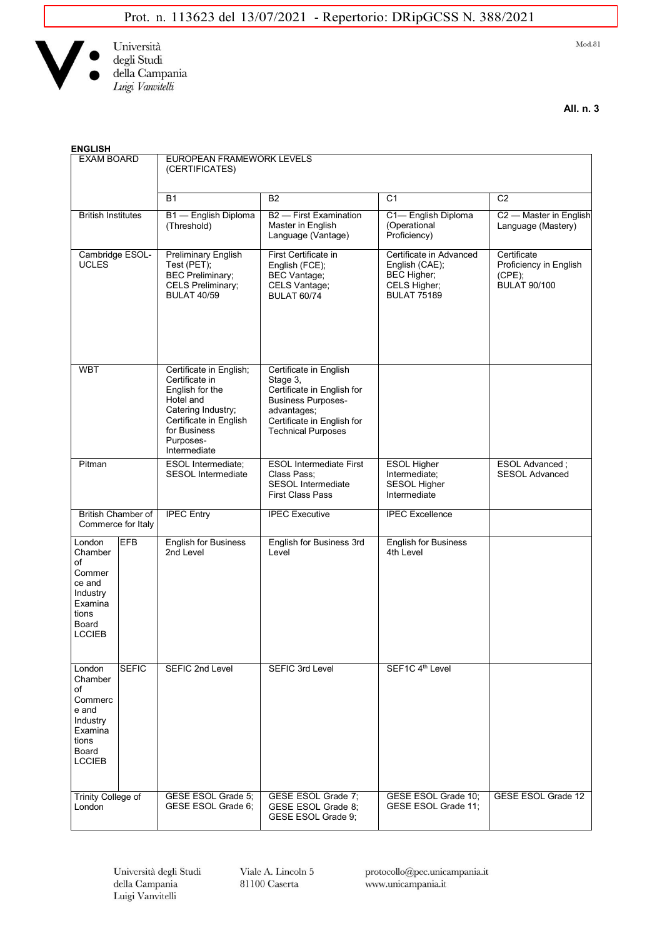

 $Mod.81$ 

**All. n. 3**

| <b>ENGLISH</b>                                                                                                        |                                                                                                                                                                        |                                                                                                                                                                         |                                                                                                       |                                                                        |  |
|-----------------------------------------------------------------------------------------------------------------------|------------------------------------------------------------------------------------------------------------------------------------------------------------------------|-------------------------------------------------------------------------------------------------------------------------------------------------------------------------|-------------------------------------------------------------------------------------------------------|------------------------------------------------------------------------|--|
| <b>EXAM BOARD</b>                                                                                                     | EUROPEAN FRAMEWORK LEVELS<br>(CERTIFICATES)                                                                                                                            |                                                                                                                                                                         |                                                                                                       |                                                                        |  |
|                                                                                                                       | <b>B1</b>                                                                                                                                                              | B2                                                                                                                                                                      | C <sub>1</sub>                                                                                        | C <sub>2</sub>                                                         |  |
| <b>British Institutes</b>                                                                                             | B1 - English Diploma<br>(Threshold)                                                                                                                                    | B <sub>2</sub> - First Examination<br>Master in English<br>Language (Vantage)                                                                                           | C1-English Diploma<br>(Operational<br>Proficiency)                                                    | C2 - Master in English<br>Language (Mastery)                           |  |
| Cambridge ESOL-<br><b>UCLES</b>                                                                                       | <b>Preliminary English</b><br>Test (PET);<br><b>BEC Preliminary;</b><br><b>CELS Preliminary;</b><br><b>BULAT 40/59</b>                                                 | First Certificate in<br>English (FCE);<br><b>BEC Vantage;</b><br>CELS Vantage;<br><b>BULAT 60/74</b>                                                                    | Certificate in Advanced<br>English (CAE);<br><b>BEC Higher;</b><br>CELS Higher;<br><b>BULAT 75189</b> | Certificate<br>Proficiency in English<br>(CPE);<br><b>BULAT 90/100</b> |  |
| <b>WBT</b>                                                                                                            | Certificate in English;<br>Certificate in<br>English for the<br>Hotel and<br>Catering Industry;<br>Certificate in English<br>for Business<br>Purposes-<br>Intermediate | Certificate in English<br>Stage 3,<br>Certificate in English for<br><b>Business Purposes-</b><br>advantages;<br>Certificate in English for<br><b>Technical Purposes</b> |                                                                                                       |                                                                        |  |
| Pitman                                                                                                                | <b>ESOL Intermediate;</b><br><b>SESOL Intermediate</b>                                                                                                                 | <b>ESOL Intermediate First</b><br>Class Pass;<br><b>SESOL Intermediate</b><br><b>First Class Pass</b>                                                                   | <b>ESOL Higher</b><br>Intermediate;<br><b>SESOL Higher</b><br>Intermediate                            | ESOL Advanced;<br><b>SESOL Advanced</b>                                |  |
| British Chamber of<br>Commerce for Italy                                                                              | <b>IPEC Entry</b>                                                                                                                                                      | <b>IPEC Executive</b>                                                                                                                                                   | <b>IPEC Excellence</b>                                                                                |                                                                        |  |
| <b>EFB</b><br>London<br>Chamber<br>of<br>Commer<br>ce and<br>Industry<br>Examina<br>tions<br>Board<br><b>LCCIEB</b>   | <b>English for Business</b><br>2nd Level                                                                                                                               | English for Business 3rd<br>Level                                                                                                                                       | <b>English for Business</b><br>4th Level                                                              |                                                                        |  |
| <b>SEFIC</b><br>London<br>Chamber<br>of<br>Commerc<br>e and<br>Industry<br>Examina<br>tions<br>Board<br><b>LCCIEB</b> | SEFIC 2nd Level                                                                                                                                                        | <b>SEFIC 3rd Level</b>                                                                                                                                                  | SEF1C 4 <sup>th</sup> Level                                                                           |                                                                        |  |
| Trinity College of<br>London                                                                                          | GESE ESOL Grade 5:<br>GESE ESOL Grade 6;                                                                                                                               | GESE ESOL Grade 7;<br>GESE ESOL Grade 8;<br>GESE ESOL Grade 9;                                                                                                          | GESE ESOL Grade 10;<br>GESE ESOL Grade 11;                                                            | GESE ESOL Grade 12                                                     |  |

Università degli Studi della Campania Luigi Vanvitelli

Viale A. Lincoln 5  $81100$  Caserta

protocollo@pec.unicampania.it www.unicampania.it